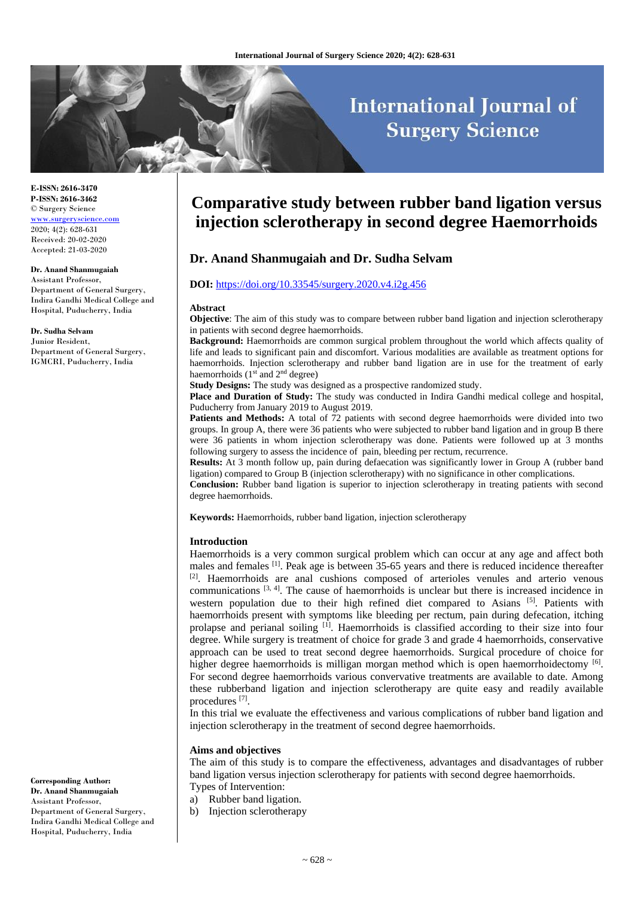# **International Journal of Surgery Science**

**E-ISSN: 2616-3470 P-ISSN: 2616-3462** © Surgery Science [www.surgeryscience.com](http://www.surgeryscience.com/) 2020; 4(2): 628-631 Received: 20-02-2020 Accepted: 21-03-2020

#### **Dr. Anand Shanmugaiah**

Assistant Professor, Department of General Surgery, Indira Gandhi Medical College and Hospital, Puducherry, India

#### **Dr. Sudha Selvam**

Junior Resident, Department of General Surgery, IGMCRI, Puducherry, India

**Corresponding Author: Dr. Anand Shanmugaiah** Assistant Professor, Department of General Surgery, Indira Gandhi Medical College and Hospital, Puducherry, India

## **Comparative study between rubber band ligation versus injection sclerotherapy in second degree Haemorrhoids**

## **Dr. Anand Shanmugaiah and Dr. Sudha Selvam**

#### **DOI:** <https://doi.org/10.33545/surgery.2020.v4.i2g.456>

#### **Abstract**

**Objective**: The aim of this study was to compare between rubber band ligation and injection sclerotherapy in patients with second degree haemorrhoids.

**Background:** Haemorrhoids are common surgical problem throughout the world which affects quality of life and leads to significant pain and discomfort. Various modalities are available as treatment options for haemorrhoids. Injection sclerotherapy and rubber band ligation are in use for the treatment of early haemorrhoids  $(1<sup>st</sup>$  and  $2<sup>nd</sup>$  degree)

**Study Designs:** The study was designed as a prospective randomized study.

**Place and Duration of Study:** The study was conducted in Indira Gandhi medical college and hospital, Puducherry from January 2019 to August 2019.

**Patients and Methods:** A total of 72 patients with second degree haemorrhoids were divided into two groups. In group A, there were 36 patients who were subjected to rubber band ligation and in group B there were 36 patients in whom injection sclerotherapy was done. Patients were followed up at 3 months following surgery to assess the incidence of pain, bleeding per rectum, recurrence.

**Results:** At 3 month follow up, pain during defaecation was significantly lower in Group A (rubber band ligation) compared to Group B (injection sclerotherapy) with no significance in other complications.

**Conclusion:** Rubber band ligation is superior to injection sclerotherapy in treating patients with second degree haemorrhoids.

**Keywords:** Haemorrhoids, rubber band ligation, injection sclerotherapy

#### **Introduction**

Haemorrhoids is a very common surgical problem which can occur at any age and affect both males and females [1]. Peak age is between 35-65 years and there is reduced incidence thereafter [2]. Haemorrhoids are anal cushions composed of arterioles venules and arterio venous communications <sup>[3, 4]</sup>. The cause of haemorrhoids is unclear but there is increased incidence in western population due to their high refined diet compared to Asians [5]. Patients with haemorrhoids present with symptoms like bleeding per rectum, pain during defecation, itching prolapse and perianal soiling [1]. Haemorrhoids is classified according to their size into four degree. While surgery is treatment of choice for grade 3 and grade 4 haemorrhoids, conservative approach can be used to treat second degree haemorrhoids. Surgical procedure of choice for higher degree haemorrhoids is milligan morgan method which is open haemorrhoidectomy <sup>[6]</sup>. For second degree haemorrhoids various convervative treatments are available to date. Among these rubberband ligation and injection sclerotherapy are quite easy and readily available procedures<sup>[7]</sup>.

In this trial we evaluate the effectiveness and various complications of rubber band ligation and injection sclerotherapy in the treatment of second degree haemorrhoids.

#### **Aims and objectives**

The aim of this study is to compare the effectiveness, advantages and disadvantages of rubber band ligation versus injection sclerotherapy for patients with second degree haemorrhoids. Types of Intervention:

a) Rubber band ligation.

b) Injection sclerotherapy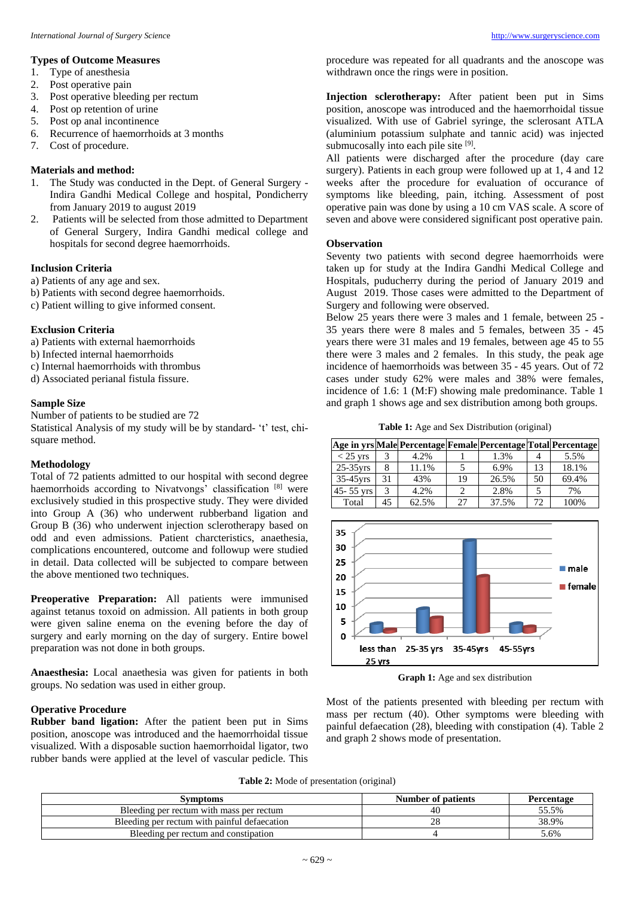## **Types of Outcome Measures**

- 1. Type of anesthesia
- 2. Post operative pain
- 3. Post operative bleeding per rectum
- 4. Post op retention of urine
- 5. Post op anal incontinence
- 6. Recurrence of haemorrhoids at 3 months
- 7. Cost of procedure.

#### **Materials and method:**

- 1. The Study was conducted in the Dept. of General Surgery Indira Gandhi Medical College and hospital, Pondicherry from January 2019 to august 2019
- 2. Patients will be selected from those admitted to Department of General Surgery, Indira Gandhi medical college and hospitals for second degree haemorrhoids.

## **Inclusion Criteria**

- a) Patients of any age and sex.
- b) Patients with second degree haemorrhoids.
- c) Patient willing to give informed consent.

## **Exclusion Criteria**

- a) Patients with external haemorrhoids
- b) Infected internal haemorrhoids
- c) Internal haemorrhoids with thrombus
- d) Associated perianal fistula fissure.

#### **Sample Size**

Number of patients to be studied are 72

Statistical Analysis of my study will be by standard- 't' test, chisquare method.

## **Methodology**

Total of 72 patients admitted to our hospital with second degree haemorrhoids according to Nivatvongs' classification [8] were exclusively studied in this prospective study. They were divided into Group A (36) who underwent rubberband ligation and Group B (36) who underwent injection sclerotherapy based on odd and even admissions. Patient charcteristics, anaethesia, complications encountered, outcome and followup were studied in detail. Data collected will be subjected to compare between the above mentioned two techniques.

**Preoperative Preparation:** All patients were immunised against tetanus toxoid on admission. All patients in both group were given saline enema on the evening before the day of surgery and early morning on the day of surgery. Entire bowel preparation was not done in both groups.

**Anaesthesia:** Local anaethesia was given for patients in both groups. No sedation was used in either group.

## **Operative Procedure**

**Rubber band ligation:** After the patient been put in Sims position, anoscope was introduced and the haemorrhoidal tissue visualized. With a disposable suction haemorrhoidal ligator, two rubber bands were applied at the level of vascular pedicle. This

procedure was repeated for all quadrants and the anoscope was withdrawn once the rings were in position.

**Injection sclerotherapy:** After patient been put in Sims position, anoscope was introduced and the haemorrhoidal tissue visualized. With use of Gabriel syringe, the sclerosant ATLA (aluminium potassium sulphate and tannic acid) was injected submucosally into each pile site [9].

All patients were discharged after the procedure (day care surgery). Patients in each group were followed up at 1, 4 and 12 weeks after the procedure for evaluation of occurance of symptoms like bleeding, pain, itching. Assessment of post operative pain was done by using a 10 cm VAS scale. A score of seven and above were considered significant post operative pain.

#### **Observation**

Seventy two patients with second degree haemorrhoids were taken up for study at the Indira Gandhi Medical College and Hospitals, puducherry during the period of January 2019 and August 2019. Those cases were admitted to the Department of Surgery and following were observed.

Below 25 years there were 3 males and 1 female, between 25 - 35 years there were 8 males and 5 females, between 35 - 45 years there were 31 males and 19 females, between age 45 to 55 there were 3 males and 2 females. In this study, the peak age incidence of haemorrhoids was between 35 - 45 years. Out of 72 cases under study 62% were males and 38% were females, incidence of 1.6: 1 (M:F) showing male predominance. Table 1 and graph 1 shows age and sex distribution among both groups.

**Table 1:** Age and Sex Distribution (original)

|               |     |       |    |       |    | Age in yrs Male Percentage Female Percentage Total Percentage |
|---------------|-----|-------|----|-------|----|---------------------------------------------------------------|
| $<$ 25 yrs    |     | 4.2%  |    | 1.3%  |    | 5.5%                                                          |
| $25-35$ yrs   |     | 11.1% |    | 6.9%  | 13 | 18.1%                                                         |
| $35-45$ yrs   | 31  | 43%   | 19 | 26.5% | 50 | 69.4%                                                         |
| $45 - 55$ yrs |     | 4.2%  |    | 2.8%  | 5  | 7%                                                            |
| Total         | 45. | 62.5% | 27 | 37.5% | 72 | 100%                                                          |



**Graph 1:** Age and sex distribution

Most of the patients presented with bleeding per rectum with mass per rectum (40). Other symptoms were bleeding with painful defaecation (28), bleeding with constipation (4). Table 2 and graph 2 shows mode of presentation.

**Table 2:** Mode of presentation (original)

| Svmptoms                                     | Number of patients | <b>Percentage</b> |
|----------------------------------------------|--------------------|-------------------|
| Bleeding per rectum with mass per rectum     |                    | 55.5%             |
| Bleeding per rectum with painful defaecation |                    | 38.9%             |
| Bleeding per rectum and constipation         |                    | 5.6%              |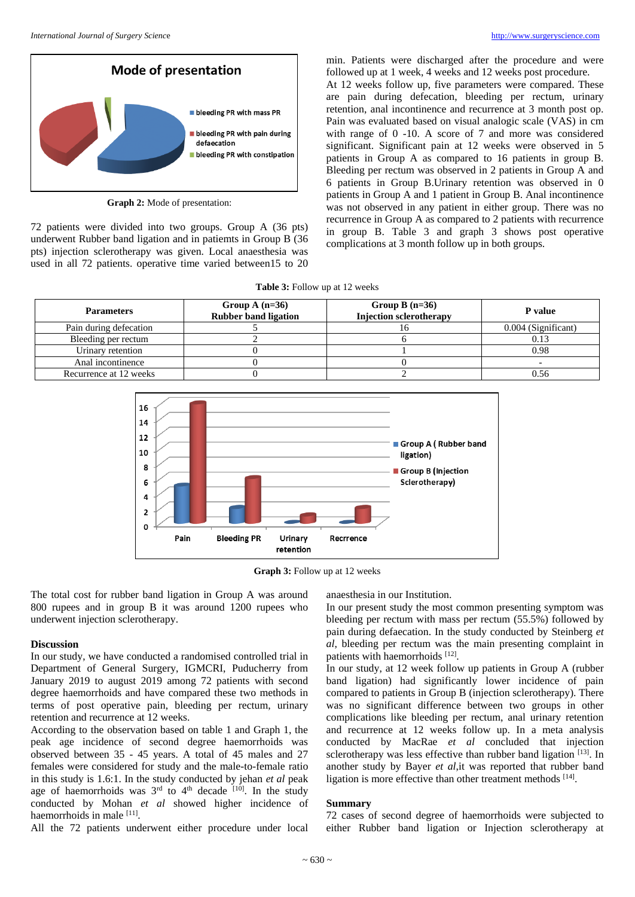

**Graph 2:** Mode of presentation:

72 patients were divided into two groups. Group A (36 pts) underwent Rubber band ligation and in patiemts in Group B (36 pts) injection sclerotherapy was given. Local anaesthesia was used in all 72 patients. operative time varied between15 to 20

min. Patients were discharged after the procedure and were followed up at 1 week, 4 weeks and 12 weeks post procedure. At 12 weeks follow up, five parameters were compared. These are pain during defecation, bleeding per rectum, urinary retention, anal incontinence and recurrence at 3 month post op. Pain was evaluated based on visual analogic scale (VAS) in cm with range of 0 -10. A score of 7 and more was considered significant. Significant pain at 12 weeks were observed in 5 patients in Group A as compared to 16 patients in group B. Bleeding per rectum was observed in 2 patients in Group A and 6 patients in Group B.Urinary retention was observed in 0 patients in Group A and 1 patient in Group B. Anal incontinence was not observed in any patient in either group. There was no recurrence in Group A as compared to 2 patients with recurrence in group B. Table 3 and graph 3 shows post operative complications at 3 month follow up in both groups.

|  | <b>Table 3:</b> Follow up at 12 weeks |
|--|---------------------------------------|
|--|---------------------------------------|

| <b>Parameters</b>      | Group A $(n=36)$<br><b>Rubber band ligation</b> | Group B $(n=36)$<br><b>Injection sclerotherapy</b> | <b>P</b> value      |
|------------------------|-------------------------------------------------|----------------------------------------------------|---------------------|
| Pain during defecation |                                                 |                                                    | 0.004 (Significant) |
| Bleeding per rectum    |                                                 |                                                    |                     |
| Urinary retention      |                                                 |                                                    | 0.98                |
| Anal incontinence      |                                                 |                                                    |                     |
| Recurrence at 12 weeks |                                                 |                                                    | 0.56                |



**Graph 3:** Follow up at 12 weeks

The total cost for rubber band ligation in Group A was around 800 rupees and in group B it was around 1200 rupees who underwent injection sclerotherapy.

#### **Discussion**

In our study, we have conducted a randomised controlled trial in Department of General Surgery, IGMCRI, Puducherry from January 2019 to august 2019 among 72 patients with second degree haemorrhoids and have compared these two methods in terms of post operative pain, bleeding per rectum, urinary retention and recurrence at 12 weeks.

According to the observation based on table 1 and Graph 1, the peak age incidence of second degree haemorrhoids was observed between 35 - 45 years. A total of 45 males and 27 females were considered for study and the male-to-female ratio in this study is 1.6:1. In the study conducted by jehan *et al* peak age of haemorrhoids was  $3<sup>rd</sup>$  to  $4<sup>th</sup>$  decade  $[10]$ . In the study conducted by Mohan *et al* showed higher incidence of haemorrhoids in male [11].

All the 72 patients underwent either procedure under local

anaesthesia in our Institution.

In our present study the most common presenting symptom was bleeding per rectum with mass per rectum (55.5%) followed by pain during defaecation. In the study conducted by Steinberg *et al*, bleeding per rectum was the main presenting complaint in patients with haemorrhoids [12].

In our study, at 12 week follow up patients in Group A (rubber band ligation) had significantly lower incidence of pain compared to patients in Group B (injection sclerotherapy). There was no significant difference between two groups in other complications like bleeding per rectum, anal urinary retention and recurrence at 12 weeks follow up. In a meta analysis conducted by MacRae *et al* concluded that injection sclerotherapy was less effective than rubber band ligation [13]. In another study by Bayer *et al*,it was reported that rubber band ligation is more effective than other treatment methods [14].

#### **Summary**

72 cases of second degree of haemorrhoids were subjected to either Rubber band ligation or Injection sclerotherapy at